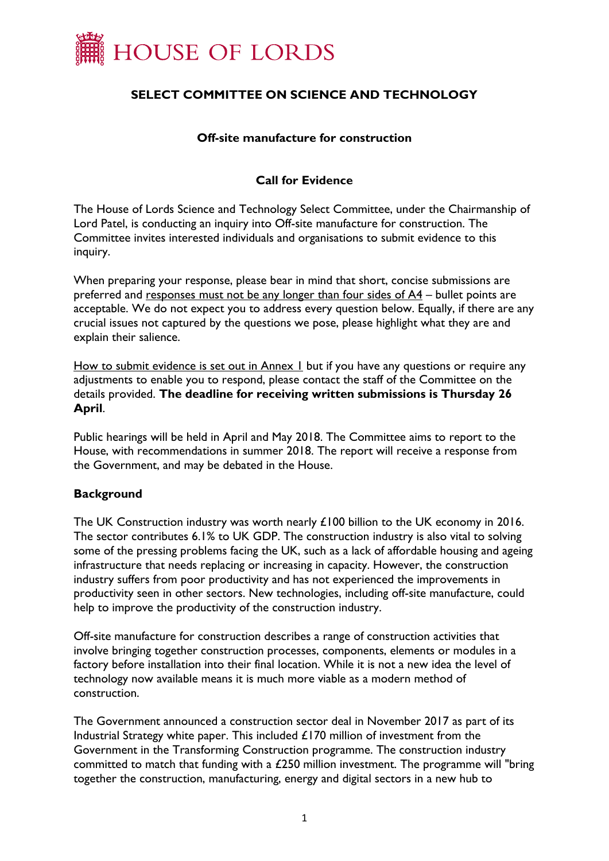

# **SELECT COMMITTEE ON SCIENCE AND TECHNOLOGY**

### **Off-site manufacture for construction**

## **Call for Evidence**

The House of Lords Science and Technology Select Committee, under the Chairmanship of Lord Patel, is conducting an inquiry into Off-site manufacture for construction. The Committee invites interested individuals and organisations to submit evidence to this inquiry.

When preparing your response, please bear in mind that short, concise submissions are preferred and responses must not be any longer than four sides of A4 – bullet points are acceptable. We do not expect you to address every question below. Equally, if there are any crucial issues not captured by the questions we pose, please highlight what they are and explain their salience.

How to submit evidence is set out in Annex 1 but if you have any questions or require any adjustments to enable you to respond, please contact the staff of the Committee on the details provided. **The deadline for receiving written submissions is Thursday 26 April**.

Public hearings will be held in April and May 2018. The Committee aims to report to the House, with recommendations in summer 2018. The report will receive a response from the Government, and may be debated in the House.

## **Background**

The UK Construction industry was worth nearly £100 billion to the UK economy in 2016. The sector contributes 6.1% to UK GDP. The construction industry is also vital to solving some of the pressing problems facing the UK, such as a lack of affordable housing and ageing infrastructure that needs replacing or increasing in capacity. However, the construction industry suffers from poor productivity and has not experienced the improvements in productivity seen in other sectors. New technologies, including off-site manufacture, could help to improve the productivity of the construction industry.

Off-site manufacture for construction describes a range of construction activities that involve bringing together construction processes, components, elements or modules in a factory before installation into their final location. While it is not a new idea the level of technology now available means it is much more viable as a modern method of construction.

The Government announced a construction sector deal in November 2017 as part of its Industrial Strategy white paper. This included  $£170$  million of investment from the Government in the Transforming Construction programme. The construction industry committed to match that funding with a £250 million investment. The programme will "bring together the construction, manufacturing, energy and digital sectors in a new hub to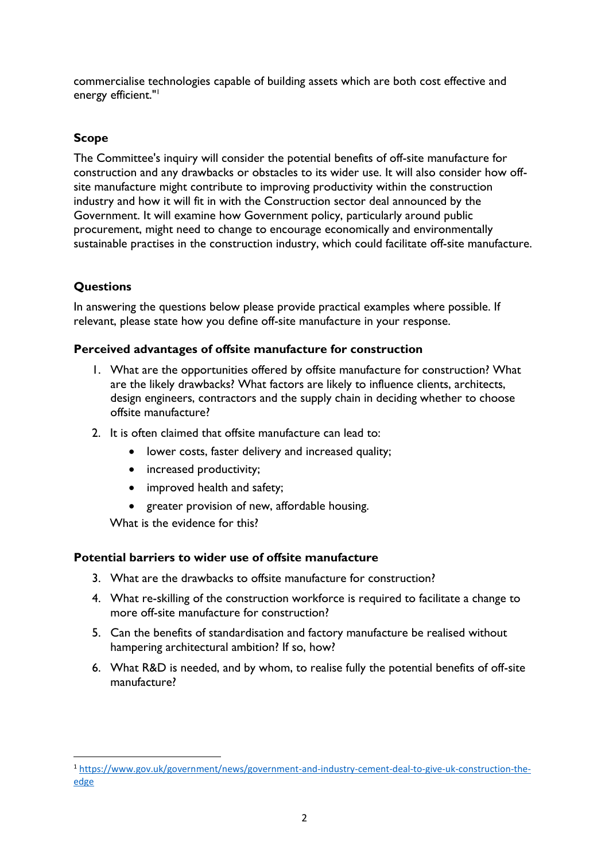commercialise technologies capable of building assets which are both cost effective and energy efficient."<sup>1</sup>

# **Scope**

The Committee's inquiry will consider the potential benefits of off-site manufacture for construction and any drawbacks or obstacles to its wider use. It will also consider how offsite manufacture might contribute to improving productivity within the construction industry and how it will fit in with the Construction sector deal announced by the Government. It will examine how Government policy, particularly around public procurement, might need to change to encourage economically and environmentally sustainable practises in the construction industry, which could facilitate off-site manufacture.

## **Questions**

 $\overline{a}$ 

In answering the questions below please provide practical examples where possible. If relevant, please state how you define off-site manufacture in your response.

## **Perceived advantages of offsite manufacture for construction**

- 1. What are the opportunities offered by offsite manufacture for construction? What are the likely drawbacks? What factors are likely to influence clients, architects, design engineers, contractors and the supply chain in deciding whether to choose offsite manufacture?
- 2. It is often claimed that offsite manufacture can lead to:
	- lower costs, faster delivery and increased quality;
	- increased productivity;
	- improved health and safety:
	- greater provision of new, affordable housing.

What is the evidence for this?

#### **Potential barriers to wider use of offsite manufacture**

- 3. What are the drawbacks to offsite manufacture for construction?
- 4. What re-skilling of the construction workforce is required to facilitate a change to more off-site manufacture for construction?
- 5. Can the benefits of standardisation and factory manufacture be realised without hampering architectural ambition? If so, how?
- 6. What R&D is needed, and by whom, to realise fully the potential benefits of off-site manufacture?

<sup>1</sup> [https://www.gov.uk/government/news/government-and-industry-cement-deal-to-give-uk-construction-the](https://www.gov.uk/government/news/government-and-industry-cement-deal-to-give-uk-construction-the-edge)[edge](https://www.gov.uk/government/news/government-and-industry-cement-deal-to-give-uk-construction-the-edge)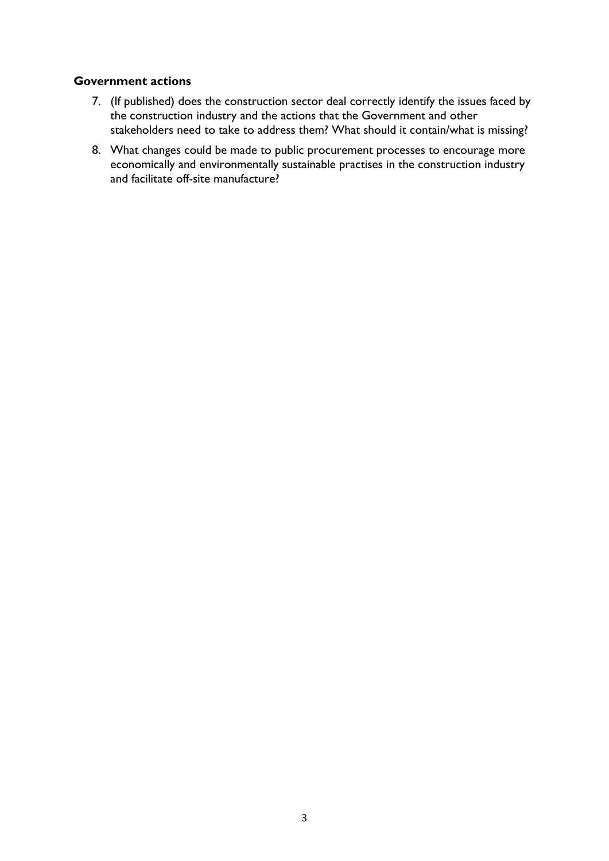### **Government actions**

- 7. (If published) does the construction sector deal correctly identify the issues faced by the construction industry and the actions that the Government and other stakeholders need to take to address them? What should it contain/what is missing?
- 8. What changes could be made to public procurement processes to encourage more economically and environmentally sustainable practises in the construction industry and facilitate off-site manufacture?